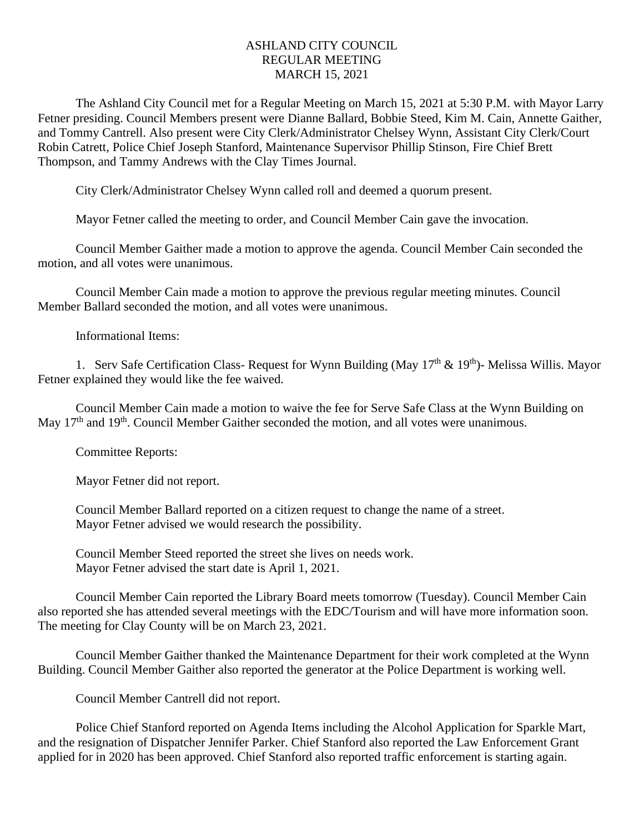## ASHLAND CITY COUNCIL REGULAR MEETING MARCH 15, 2021

The Ashland City Council met for a Regular Meeting on March 15, 2021 at 5:30 P.M. with Mayor Larry Fetner presiding. Council Members present were Dianne Ballard, Bobbie Steed, Kim M. Cain, Annette Gaither, and Tommy Cantrell. Also present were City Clerk/Administrator Chelsey Wynn, Assistant City Clerk/Court Robin Catrett, Police Chief Joseph Stanford, Maintenance Supervisor Phillip Stinson, Fire Chief Brett Thompson, and Tammy Andrews with the Clay Times Journal.

City Clerk/Administrator Chelsey Wynn called roll and deemed a quorum present.

Mayor Fetner called the meeting to order, and Council Member Cain gave the invocation.

Council Member Gaither made a motion to approve the agenda. Council Member Cain seconded the motion, and all votes were unanimous.

Council Member Cain made a motion to approve the previous regular meeting minutes. Council Member Ballard seconded the motion, and all votes were unanimous.

Informational Items:

1. Serv Safe Certification Class-Request for Wynn Building (May  $17<sup>th</sup>$  &  $19<sup>th</sup>$ )- Melissa Willis. Mayor Fetner explained they would like the fee waived.

Council Member Cain made a motion to waive the fee for Serve Safe Class at the Wynn Building on May 17<sup>th</sup> and 19<sup>th</sup>. Council Member Gaither seconded the motion, and all votes were unanimous.

Committee Reports:

Mayor Fetner did not report.

Council Member Ballard reported on a citizen request to change the name of a street. Mayor Fetner advised we would research the possibility.

Council Member Steed reported the street she lives on needs work. Mayor Fetner advised the start date is April 1, 2021.

Council Member Cain reported the Library Board meets tomorrow (Tuesday). Council Member Cain also reported she has attended several meetings with the EDC/Tourism and will have more information soon. The meeting for Clay County will be on March 23, 2021.

Council Member Gaither thanked the Maintenance Department for their work completed at the Wynn Building. Council Member Gaither also reported the generator at the Police Department is working well.

Council Member Cantrell did not report.

Police Chief Stanford reported on Agenda Items including the Alcohol Application for Sparkle Mart, and the resignation of Dispatcher Jennifer Parker. Chief Stanford also reported the Law Enforcement Grant applied for in 2020 has been approved. Chief Stanford also reported traffic enforcement is starting again.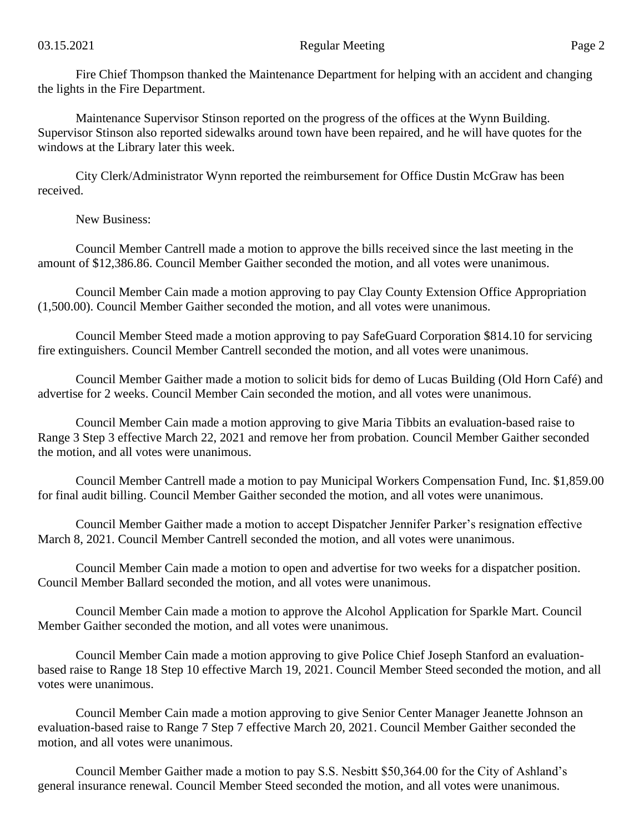Fire Chief Thompson thanked the Maintenance Department for helping with an accident and changing the lights in the Fire Department.

Maintenance Supervisor Stinson reported on the progress of the offices at the Wynn Building. Supervisor Stinson also reported sidewalks around town have been repaired, and he will have quotes for the windows at the Library later this week.

City Clerk/Administrator Wynn reported the reimbursement for Office Dustin McGraw has been received.

New Business:

Council Member Cantrell made a motion to approve the bills received since the last meeting in the amount of \$12,386.86. Council Member Gaither seconded the motion, and all votes were unanimous.

Council Member Cain made a motion approving to pay Clay County Extension Office Appropriation (1,500.00). Council Member Gaither seconded the motion, and all votes were unanimous.

Council Member Steed made a motion approving to pay SafeGuard Corporation \$814.10 for servicing fire extinguishers. Council Member Cantrell seconded the motion, and all votes were unanimous.

Council Member Gaither made a motion to solicit bids for demo of Lucas Building (Old Horn Café) and advertise for 2 weeks. Council Member Cain seconded the motion, and all votes were unanimous.

Council Member Cain made a motion approving to give Maria Tibbits an evaluation-based raise to Range 3 Step 3 effective March 22, 2021 and remove her from probation. Council Member Gaither seconded the motion, and all votes were unanimous.

Council Member Cantrell made a motion to pay Municipal Workers Compensation Fund, Inc. \$1,859.00 for final audit billing. Council Member Gaither seconded the motion, and all votes were unanimous.

Council Member Gaither made a motion to accept Dispatcher Jennifer Parker's resignation effective March 8, 2021. Council Member Cantrell seconded the motion, and all votes were unanimous.

Council Member Cain made a motion to open and advertise for two weeks for a dispatcher position. Council Member Ballard seconded the motion, and all votes were unanimous.

Council Member Cain made a motion to approve the Alcohol Application for Sparkle Mart. Council Member Gaither seconded the motion, and all votes were unanimous.

Council Member Cain made a motion approving to give Police Chief Joseph Stanford an evaluationbased raise to Range 18 Step 10 effective March 19, 2021. Council Member Steed seconded the motion, and all votes were unanimous.

Council Member Cain made a motion approving to give Senior Center Manager Jeanette Johnson an evaluation-based raise to Range 7 Step 7 effective March 20, 2021. Council Member Gaither seconded the motion, and all votes were unanimous.

Council Member Gaither made a motion to pay S.S. Nesbitt \$50,364.00 for the City of Ashland's general insurance renewal. Council Member Steed seconded the motion, and all votes were unanimous.